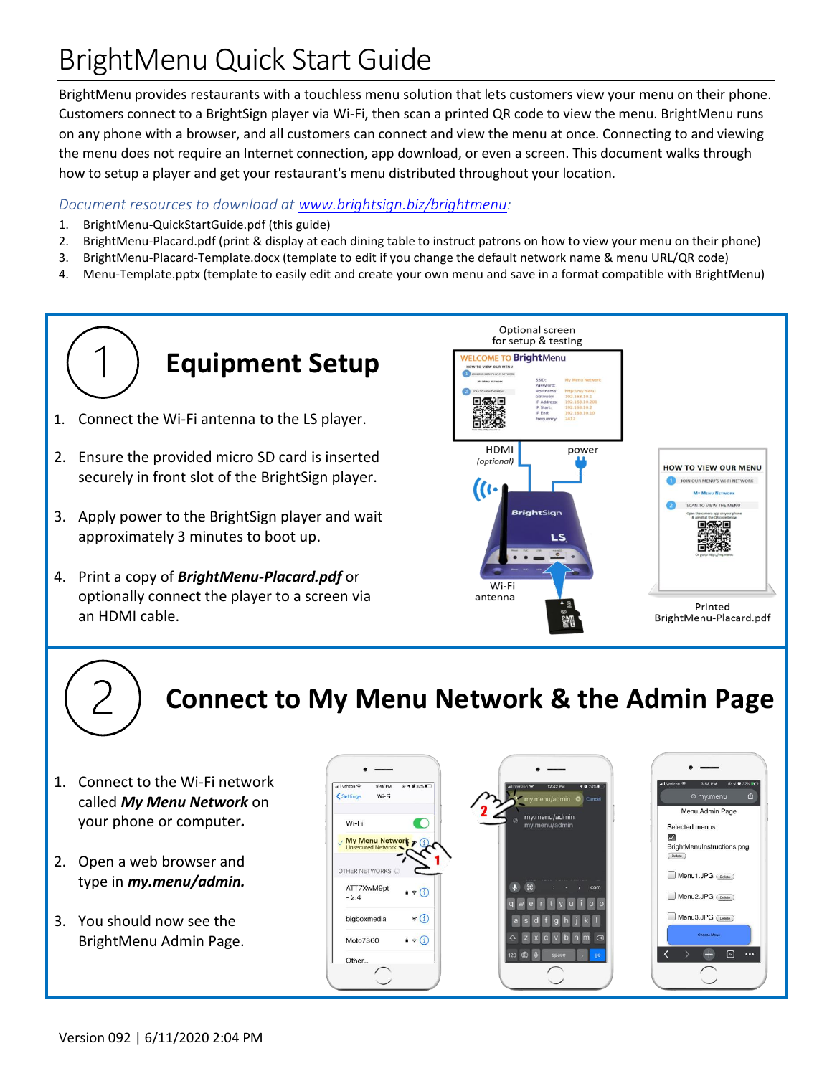# BrightMenu Quick Start Guide

BrightMenu provides restaurants with a touchless menu solution that lets customers view your menu on their phone. Customers connect to a BrightSign player via Wi-Fi, then scan a printed QR code to view the menu. BrightMenu runs on any phone with a browser, and all customers can connect and view the menu at once. Connecting to and viewing the menu does not require an Internet connection, app download, or even a screen. This document walks through how to setup a player and get your restaurant's menu distributed throughout your location.

#### *Document resources to download at [www.brightsign.biz/brightmenu:](http://www.brightsign.biz/brightmenu)*

- 1. BrightMenu-QuickStartGuide.pdf (this guide)
- 2. BrightMenu-Placard.pdf (print & display at each dining table to instruct patrons on how to view your menu on their phone)
- 3. BrightMenu-Placard-Template.docx (template to edit if you change the default network name & menu URL/QR code)
- 4. Menu-Template.pptx (template to easily edit and create your own menu and save in a format compatible with BrightMenu)

# **Equipment Setup**

- 1. Connect the Wi-Fi antenna to the LS player.
- 2. Ensure the provided micro SD card is inserted securely in front slot of the BrightSign player.
- 3. Apply power to the BrightSign player and wait approximately 3 minutes to boot up.
- 4. Print a copy of *BrightMenu-Placard.pdf* or optionally connect the player to a screen via an HDMI cable.



# **Connect to My Menu Network & the Admin Page**

- 1. Connect to the Wi-Fi network called *My Menu Network* on your phone or computer*.*
- 2. Open a web browser and type in *my.menu/admin.*
- 3. You should now see the BrightMenu Admin Page.

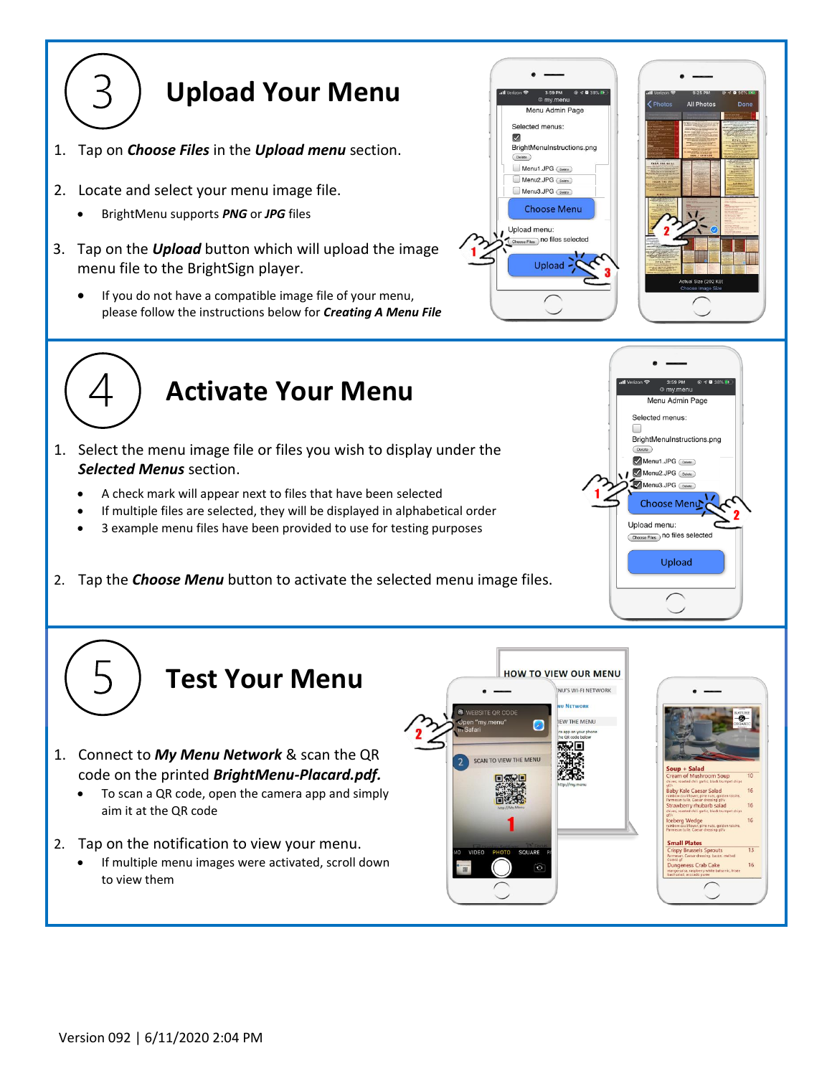

- 1. Tap on *Choose Files* in the *Upload menu* section.
- 2. Locate and select your menu image file.
	- BrightMenu supports *PNG* or *JPG* files
- 3. Tap on the *Upload* button which will upload the image menu file to the BrightSign player.
	- If you do not have a compatible image file of your menu, please follow the instructions below for *Creating A Menu File*





## **Activate Your Menu**

- 1. Select the menu image file or files you wish to display under the *Selected Menus* section.
	- A check mark will appear next to files that have been selected
	- If multiple files are selected, they will be displayed in alphabetical order
	- 3 example menu files have been provided to use for testing purposes
- 2. Tap the *Choose Menu* button to activate the selected menu image files.



16

### **Test Your Menu**

- 1. Connect to *My Menu Network* & scan the QR code on the printed *BrightMenu-Placard.pdf.*
	- To scan a QR code, open the camera app and simply aim it at the QR code
- 2. Tap on the notification to view your menu.
	- If multiple menu images were activated, scroll down to view them

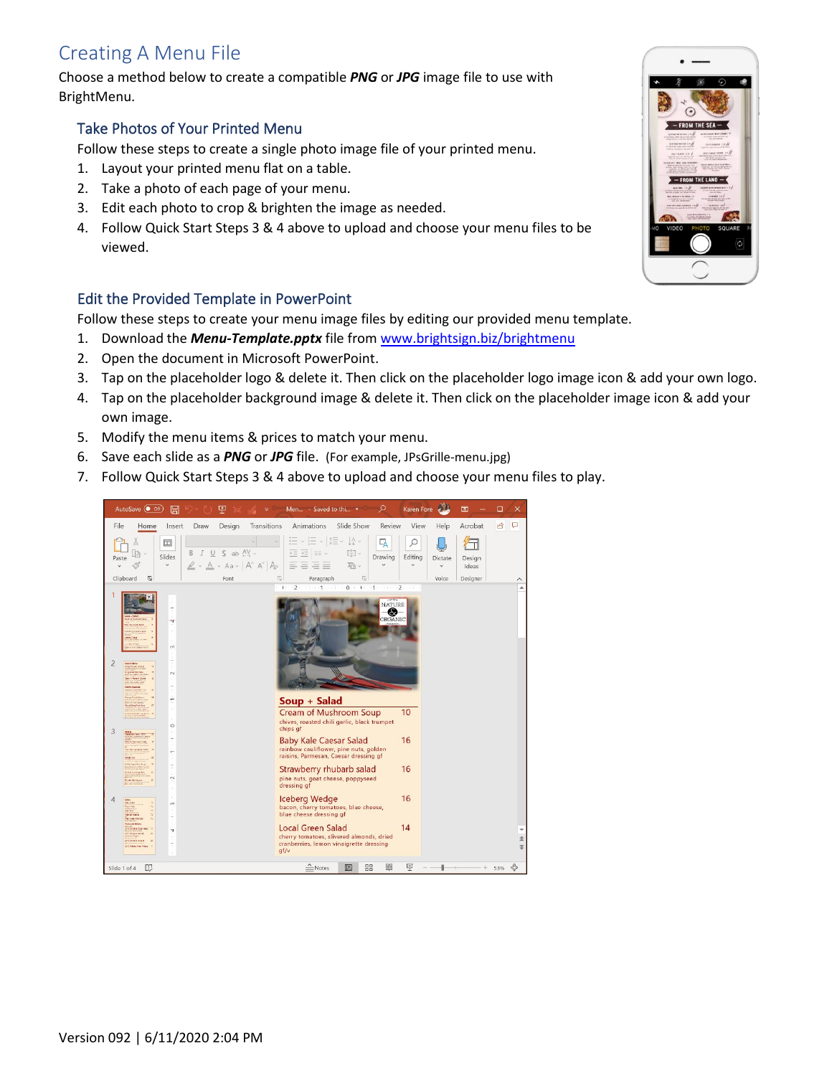### Creating A Menu File

Choose a method below to create a compatible *PNG* or *JPG* image file to use with BrightMenu.

#### Take Photos of Your Printed Menu

Follow these steps to create a single photo image file of your printed menu.

- 1. Layout your printed menu flat on a table.
- 2. Take a photo of each page of your menu.
- 3. Edit each photo to crop & brighten the image as needed.
- 4. Follow Quick Start Steps 3 & 4 above to upload and choose your menu files to be viewed.

#### Edit the Provided Template in PowerPoint

Follow these steps to create your menu image files by editing our provided menu template.

- 1. Download the *Menu-Template.pptx* file from [www.brightsign.biz/brightmenu](http://www.brightsign.biz/brightmenu)
- 2. Open the document in Microsoft PowerPoint.
- 3. Tap on the placeholder logo & delete it. Then click on the placeholder logo image icon & add your own logo.
- 4. Tap on the placeholder background image & delete it. Then click on the placeholder image icon & add your own image.
- 5. Modify the menu items & prices to match your menu.
- 6. Save each slide as a *PNG* or *JPG* file. (For example, JPsGrille-menu.jpg)
- 7. Follow Quick Start Steps 3 & 4 above to upload and choose your menu files to play.



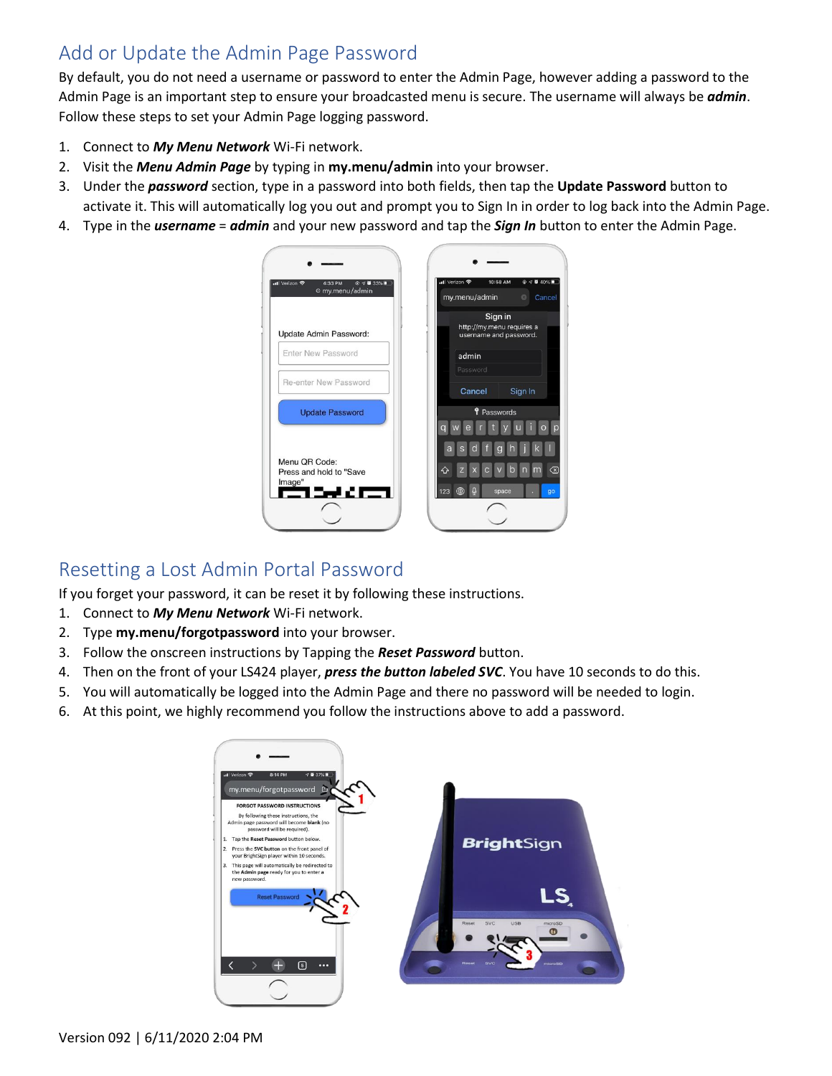### Add or Update the Admin Page Password

By default, you do not need a username or password to enter the Admin Page, however adding a password to the Admin Page is an important step to ensure your broadcasted menu is secure. The username will always be *admin*. Follow these steps to set your Admin Page logging password.

- 1. Connect to *My Menu Network* Wi-Fi network.
- 2. Visit the *Menu Admin Page* by typing in **my.menu/admin** into your browser.
- 3. Under the *password* section, type in a password into both fields, then tap the **Update Password** button to activate it. This will automatically log you out and prompt you to Sign In in order to log back into the Admin Page.
- 4. Type in the *username* = *admin* and your new password and tap the *Sign In* button to enter the Admin Page.



#### Resetting a Lost Admin Portal Password

If you forget your password, it can be reset it by following these instructions.

- 1. Connect to *My Menu Network* Wi-Fi network.
- 2. Type **my.menu/forgotpassword** into your browser.
- 3. Follow the onscreen instructions by Tapping the *Reset Password* button.
- 4. Then on the front of your LS424 player, *press the button labeled SVC*. You have 10 seconds to do this.
- 5. You will automatically be logged into the Admin Page and there no password will be needed to login.
- 6. At this point, we highly recommend you follow the instructions above to add a password.